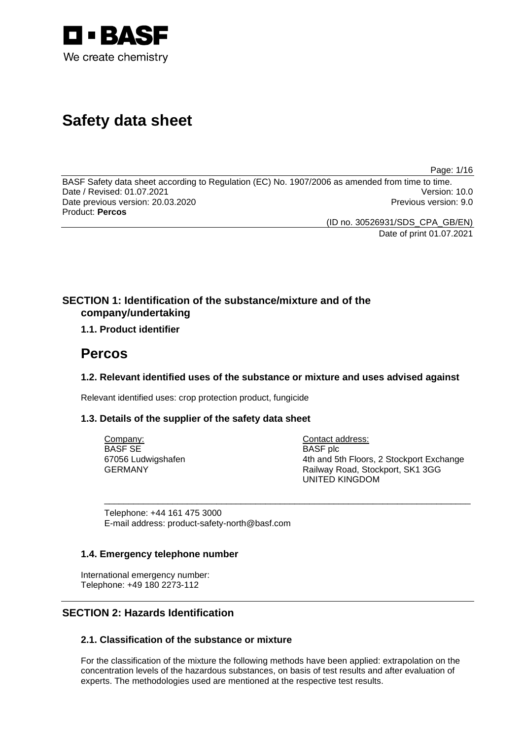

# **Safety data sheet**

Page: 1/16

BASF Safety data sheet according to Regulation (EC) No. 1907/2006 as amended from time to time. Date / Revised: 01.07.2021 Date previous version: 20.03.2020 **Previous version: 9.0** Previous version: 9.0 Product: **Percos** 

> (ID no. 30526931/SDS\_CPA\_GB/EN) Date of print 01.07.2021

# **SECTION 1: Identification of the substance/mixture and of the company/undertaking**

# **1.1. Product identifier**

# **Percos**

# **1.2. Relevant identified uses of the substance or mixture and uses advised against**

\_\_\_\_\_\_\_\_\_\_\_\_\_\_\_\_\_\_\_\_\_\_\_\_\_\_\_\_\_\_\_\_\_\_\_\_\_\_\_\_\_\_\_\_\_\_\_\_\_\_\_\_\_\_\_\_\_\_\_\_\_\_\_\_\_\_\_\_\_\_\_\_\_\_\_

Relevant identified uses: crop protection product, fungicide

# **1.3. Details of the supplier of the safety data sheet**

Company: BASF SE 67056 Ludwigshafen GERMANY

Contact address: BASF plc 4th and 5th Floors, 2 Stockport Exchange Railway Road, Stockport, SK1 3GG UNITED KINGDOM

Telephone: +44 161 475 3000 E-mail address: product-safety-north@basf.com

# **1.4. Emergency telephone number**

International emergency number: Telephone: +49 180 2273-112

# **SECTION 2: Hazards Identification**

# **2.1. Classification of the substance or mixture**

For the classification of the mixture the following methods have been applied: extrapolation on the concentration levels of the hazardous substances, on basis of test results and after evaluation of experts. The methodologies used are mentioned at the respective test results.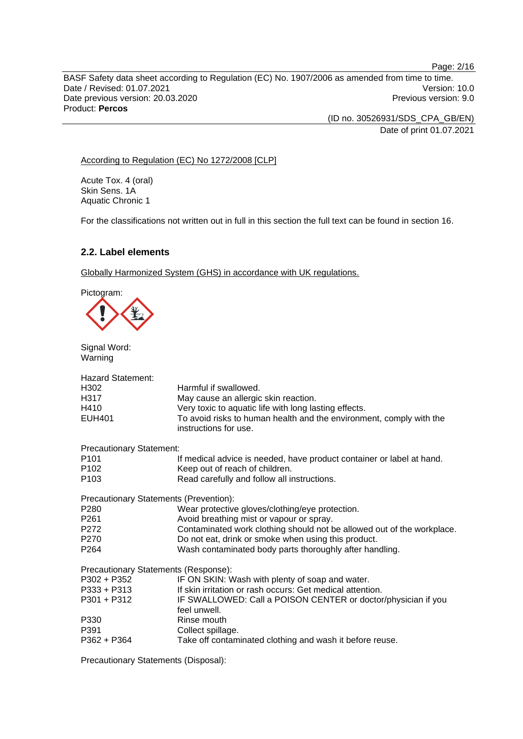BASF Safety data sheet according to Regulation (EC) No. 1907/2006 as amended from time to time. Date / Revised: 01.07.2021 Version: 10.0 Date previous version: 20.03.2020 **Previous version: 9.0** Previous version: 9.0 Product: **Percos** 

> (ID no. 30526931/SDS\_CPA\_GB/EN) Date of print 01.07.2021

### According to Regulation (EC) No 1272/2008 [CLP]

Acute Tox. 4 (oral) Skin Sens. 1A Aquatic Chronic 1

For the classifications not written out in full in this section the full text can be found in section 16.

### **2.2. Label elements**

Globally Harmonized System (GHS) in accordance with UK regulations.

Pictogram:

Signal Word: Warning

| <b>Hazard Statement:</b>               |                                                                                              |
|----------------------------------------|----------------------------------------------------------------------------------------------|
| H <sub>302</sub>                       | Harmful if swallowed.                                                                        |
| H317                                   | May cause an allergic skin reaction.                                                         |
| H410                                   | Very toxic to aquatic life with long lasting effects.                                        |
| <b>EUH401</b>                          | To avoid risks to human health and the environment, comply with the<br>instructions for use. |
| <b>Precautionary Statement:</b>        |                                                                                              |
| P <sub>101</sub>                       | If medical advice is needed, have product container or label at hand.                        |
| P <sub>102</sub>                       | Keep out of reach of children.                                                               |
| P <sub>103</sub>                       | Read carefully and follow all instructions.                                                  |
| Precautionary Statements (Prevention): |                                                                                              |
| P <sub>280</sub>                       | Wear protective gloves/clothing/eye protection.                                              |
| P <sub>261</sub>                       | Avoid breathing mist or vapour or spray.                                                     |
| P272                                   | Contaminated work clothing should not be allowed out of the workplace.                       |
| P270                                   | Do not eat, drink or smoke when using this product.                                          |
| P <sub>264</sub>                       | Wash contaminated body parts thoroughly after handling.                                      |
| Precautionary Statements (Response):   |                                                                                              |
| $P302 + P352$                          | IF ON SKIN: Wash with plenty of soap and water.                                              |
| P333 + P313                            | If skin irritation or rash occurs: Get medical attention.                                    |
| $P301 + P312$                          | IF SWALLOWED: Call a POISON CENTER or doctor/physician if you<br>feel unwell.                |
| P330                                   | Rinse mouth                                                                                  |
| P391                                   | Collect spillage.                                                                            |
| $P362 + P364$                          | Take off contaminated clothing and wash it before reuse.                                     |
|                                        |                                                                                              |

Precautionary Statements (Disposal):

Page: 2/16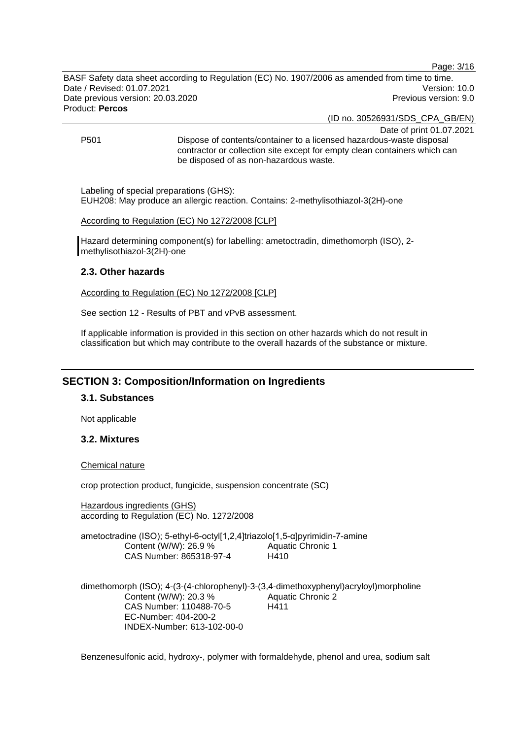Page: 3/16

BASF Safety data sheet according to Regulation (EC) No. 1907/2006 as amended from time to time. Date / Revised: 01.07.2021 Version: 10.0 Date previous version: 20.03.2020 **Previous version: 9.0** Previous version: 9.0 Product: **Percos** 

(ID no. 30526931/SDS\_CPA\_GB/EN)

Date of print 01.07.2021 P501 Dispose of contents/container to a licensed hazardous-waste disposal contractor or collection site except for empty clean containers which can be disposed of as non-hazardous waste.

Labeling of special preparations (GHS): EUH208: May produce an allergic reaction. Contains: 2-methylisothiazol-3(2H)-one

According to Regulation (EC) No 1272/2008 [CLP]

Hazard determining component(s) for labelling: ametoctradin, dimethomorph (ISO), 2 methylisothiazol-3(2H)-one

### **2.3. Other hazards**

According to Regulation (EC) No 1272/2008 [CLP]

See section 12 - Results of PBT and vPvB assessment.

If applicable information is provided in this section on other hazards which do not result in classification but which may contribute to the overall hazards of the substance or mixture.

# **SECTION 3: Composition/Information on Ingredients**

### **3.1. Substances**

Not applicable

### **3.2. Mixtures**

Chemical nature

crop protection product, fungicide, suspension concentrate (SC)

Hazardous ingredients (GHS) according to Regulation (EC) No. 1272/2008

ametoctradine (ISO); 5-ethyl-6-octyl[1,2,4]triazolo[1,5-α]pyrimidin-7-amine Content (W/W): 26.9 % CAS Number: 865318-97-4 Aquatic Chronic 1 H410

dimethomorph (ISO); 4-(3-(4-chlorophenyl)-3-(3,4-dimethoxyphenyl)acryloyl)morpholine Content (W/W): 20.3 % CAS Number: 110488-70-5 EC-Number: 404-200-2 INDEX-Number: 613-102-00-0 Aquatic Chronic 2 H411

Benzenesulfonic acid, hydroxy-, polymer with formaldehyde, phenol and urea, sodium salt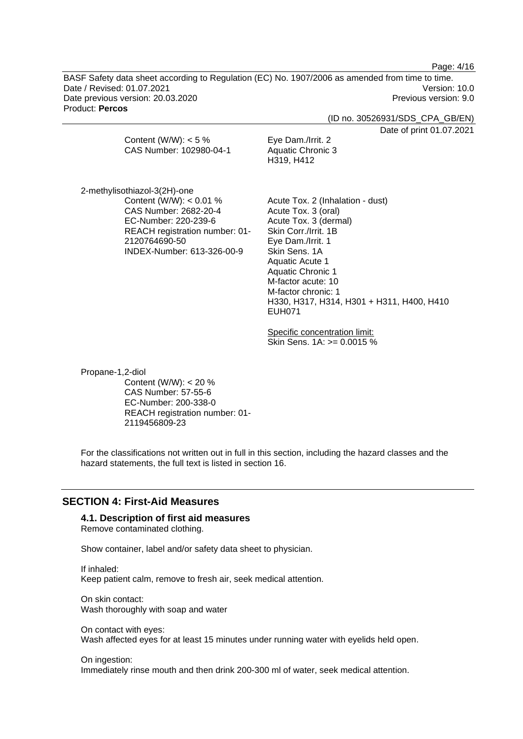Page: 4/16

BASF Safety data sheet according to Regulation (EC) No. 1907/2006 as amended from time to time. Date / Revised: 01.07.2021 Version: 10.0 Date previous version: 20.03.2020 **Previous version: 9.0** Previous version: 9.0 Product: **Percos** 

(ID no. 30526931/SDS\_CPA\_GB/EN)

Date of print 01.07.2021

|                         |                   | <b>DUID OF PHILL OF IDE</b> |
|-------------------------|-------------------|-----------------------------|
| Content (W/W): $<$ 5 %  | Eye Dam./Irrit. 2 |                             |
| CAS Number: 102980-04-1 | Aquatic Chronic 3 |                             |
|                         | H319. H412        |                             |
|                         |                   |                             |

2-methylisothiazol-3(2H)-one Content  $(W/W)$ : < 0.01 % CAS Number: 2682-20-4 EC-Number: 220-239-6 REACH registration number: 01- 2120764690-50 INDEX-Number: 613-326-00-9

Acute Tox. 2 (Inhalation - dust) Acute Tox. 3 (oral) Acute Tox. 3 (dermal) Skin Corr./Irrit. 1B Eye Dam./Irrit. 1 Skin Sens. 1A Aquatic Acute 1 Aquatic Chronic 1 M-factor acute: 10 M-factor chronic: 1 H330, H317, H314, H301 + H311, H400, H410 EUH071

Specific concentration limit: Skin Sens. 1A: >= 0.0015 %

Propane-1,2-diol Content (W/W): < 20 % CAS Number: 57-55-6 EC-Number: 200-338-0 REACH registration number: 01- 2119456809-23

For the classifications not written out in full in this section, including the hazard classes and the hazard statements, the full text is listed in section 16.

### **SECTION 4: First-Aid Measures**

**4.1. Description of first aid measures**  Remove contaminated clothing.

Show container, label and/or safety data sheet to physician.

If inhaled: Keep patient calm, remove to fresh air, seek medical attention.

On skin contact: Wash thoroughly with soap and water

On contact with eyes: Wash affected eyes for at least 15 minutes under running water with eyelids held open.

On ingestion:

Immediately rinse mouth and then drink 200-300 ml of water, seek medical attention.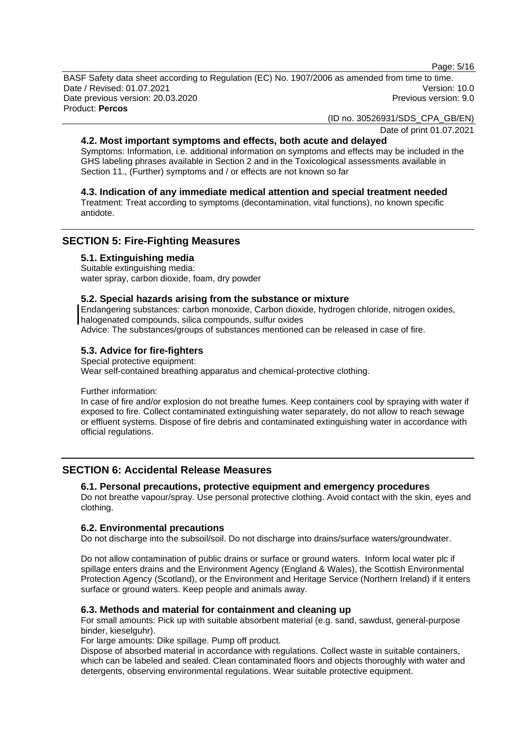Page: 5/16

BASF Safety data sheet according to Regulation (EC) No. 1907/2006 as amended from time to time. Date / Revised: 01.07.2021 Version: 10.0 Date previous version: 20.03.2020 **Previous version: 9.0** Previous version: 9.0 Product: **Percos** 

(ID no. 30526931/SDS\_CPA\_GB/EN)

Date of print 01.07.2021

### **4.2. Most important symptoms and effects, both acute and delayed**

Symptoms: Information, i.e. additional information on symptoms and effects may be included in the GHS labeling phrases available in Section 2 and in the Toxicological assessments available in Section 11., (Further) symptoms and / or effects are not known so far

### **4.3. Indication of any immediate medical attention and special treatment needed**

Treatment: Treat according to symptoms (decontamination, vital functions), no known specific antidote.

# **SECTION 5: Fire-Fighting Measures**

#### **5.1. Extinguishing media**

Suitable extinguishing media: water spray, carbon dioxide, foam, dry powder

### **5.2. Special hazards arising from the substance or mixture**

Endangering substances: carbon monoxide, Carbon dioxide, hydrogen chloride, nitrogen oxides, halogenated compounds, silica compounds, sulfur oxides

Advice: The substances/groups of substances mentioned can be released in case of fire.

### **5.3. Advice for fire-fighters**

Special protective equipment: Wear self-contained breathing apparatus and chemical-protective clothing.

Further information:

In case of fire and/or explosion do not breathe fumes. Keep containers cool by spraying with water if exposed to fire. Collect contaminated extinguishing water separately, do not allow to reach sewage or effluent systems. Dispose of fire debris and contaminated extinguishing water in accordance with official regulations.

### **SECTION 6: Accidental Release Measures**

#### **6.1. Personal precautions, protective equipment and emergency procedures**

Do not breathe vapour/spray. Use personal protective clothing. Avoid contact with the skin, eyes and clothing.

### **6.2. Environmental precautions**

Do not discharge into the subsoil/soil. Do not discharge into drains/surface waters/groundwater.

Do not allow contamination of public drains or surface or ground waters. Inform local water plc if spillage enters drains and the Environment Agency (England & Wales), the Scottish Environmental Protection Agency (Scotland), or the Environment and Heritage Service (Northern Ireland) if it enters surface or ground waters. Keep people and animals away.

#### **6.3. Methods and material for containment and cleaning up**

For small amounts: Pick up with suitable absorbent material (e.g. sand, sawdust, general-purpose binder, kieselguhr).

For large amounts: Dike spillage. Pump off product.

Dispose of absorbed material in accordance with regulations. Collect waste in suitable containers, which can be labeled and sealed. Clean contaminated floors and objects thoroughly with water and detergents, observing environmental regulations. Wear suitable protective equipment.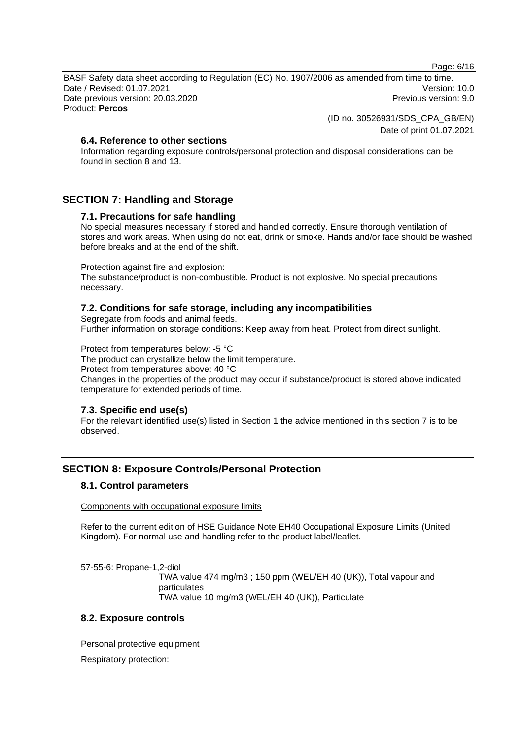Page: 6/16

BASF Safety data sheet according to Regulation (EC) No. 1907/2006 as amended from time to time. Date / Revised: 01.07.2021 Version: 10.0 Date previous version: 20.03.2020 **Previous version: 9.0** Previous version: 9.0 Product: **Percos** 

> (ID no. 30526931/SDS\_CPA\_GB/EN) Date of print 01.07.2021

**6.4. Reference to other sections** 

Information regarding exposure controls/personal protection and disposal considerations can be found in section 8 and 13.

# **SECTION 7: Handling and Storage**

### **7.1. Precautions for safe handling**

No special measures necessary if stored and handled correctly. Ensure thorough ventilation of stores and work areas. When using do not eat, drink or smoke. Hands and/or face should be washed before breaks and at the end of the shift.

Protection against fire and explosion:

The substance/product is non-combustible. Product is not explosive. No special precautions necessary.

### **7.2. Conditions for safe storage, including any incompatibilities**

Segregate from foods and animal feeds.

Further information on storage conditions: Keep away from heat. Protect from direct sunlight.

Protect from temperatures below: -5 °C

The product can crystallize below the limit temperature.

Protect from temperatures above: 40 °C

Changes in the properties of the product may occur if substance/product is stored above indicated temperature for extended periods of time.

### **7.3. Specific end use(s)**

For the relevant identified use(s) listed in Section 1 the advice mentioned in this section 7 is to be observed.

# **SECTION 8: Exposure Controls/Personal Protection**

#### **8.1. Control parameters**

Components with occupational exposure limits

Refer to the current edition of HSE Guidance Note EH40 Occupational Exposure Limits (United Kingdom). For normal use and handling refer to the product label/leaflet.

57-55-6: Propane-1,2-diol TWA value 474 mg/m3 ; 150 ppm (WEL/EH 40 (UK)), Total vapour and particulates TWA value 10 mg/m3 (WEL/EH 40 (UK)), Particulate

### **8.2. Exposure controls**

Personal protective equipment

Respiratory protection: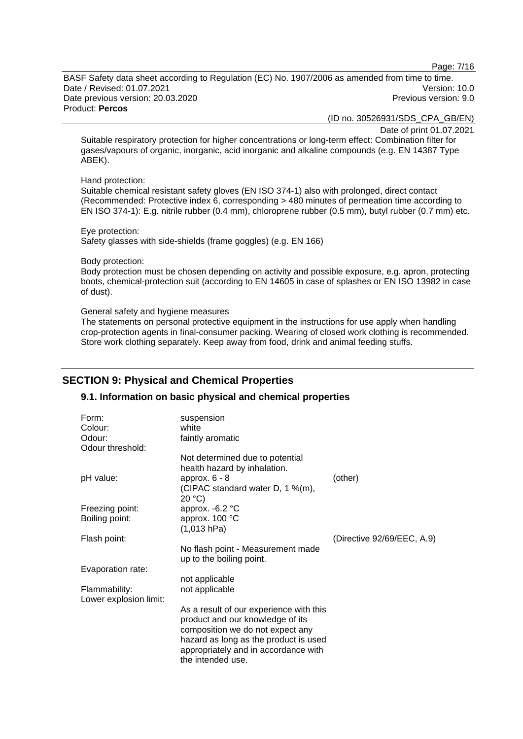Page: 7/16

BASF Safety data sheet according to Regulation (EC) No. 1907/2006 as amended from time to time. Date / Revised: 01.07.2021 Version: 10.0 Date previous version: 20.03.2020 **Previous version: 9.0** Previous version: 9.0 Product: **Percos** 

(ID no. 30526931/SDS\_CPA\_GB/EN)

Date of print 01.07.2021

Suitable respiratory protection for higher concentrations or long-term effect: Combination filter for gases/vapours of organic, inorganic, acid inorganic and alkaline compounds (e.g. EN 14387 Type ABEK).

#### Hand protection:

Suitable chemical resistant safety gloves (EN ISO 374-1) also with prolonged, direct contact (Recommended: Protective index 6, corresponding > 480 minutes of permeation time according to EN ISO 374-1): E.g. nitrile rubber (0.4 mm), chloroprene rubber (0.5 mm), butyl rubber (0.7 mm) etc.

#### Eye protection: Safety glasses with side-shields (frame goggles) (e.g. EN 166)

#### Body protection:

Body protection must be chosen depending on activity and possible exposure, e.g. apron, protecting boots, chemical-protection suit (according to EN 14605 in case of splashes or EN ISO 13982 in case of dust).

#### General safety and hygiene measures

The statements on personal protective equipment in the instructions for use apply when handling crop-protection agents in final-consumer packing. Wearing of closed work clothing is recommended. Store work clothing separately. Keep away from food, drink and animal feeding stuffs.

# **SECTION 9: Physical and Chemical Properties**

### **9.1. Information on basic physical and chemical properties**

| Form:<br>Colour:       | suspension<br>white                                           |                            |
|------------------------|---------------------------------------------------------------|----------------------------|
| Odour:                 | faintly aromatic                                              |                            |
| Odour threshold:       |                                                               |                            |
|                        | Not determined due to potential                               |                            |
|                        | health hazard by inhalation.                                  |                            |
| pH value:              | approx. $6 - 8$                                               | (other)                    |
|                        | (CIPAC standard water D, 1 %(m),<br>20 °C                     |                            |
| Freezing point:        | approx. $-6.2$ °C                                             |                            |
| Boiling point:         | approx. 100 °C                                                |                            |
|                        | (1,013 hPa)                                                   |                            |
| Flash point:           |                                                               | (Directive 92/69/EEC, A.9) |
|                        | No flash point - Measurement made<br>up to the boiling point. |                            |
| Evaporation rate:      |                                                               |                            |
|                        | not applicable                                                |                            |
| Flammability:          | not applicable                                                |                            |
| Lower explosion limit: |                                                               |                            |
|                        | As a result of our experience with this                       |                            |
|                        | product and our knowledge of its                              |                            |
|                        | composition we do not expect any                              |                            |
|                        | hazard as long as the product is used                         |                            |
|                        | appropriately and in accordance with                          |                            |
|                        | the intended use.                                             |                            |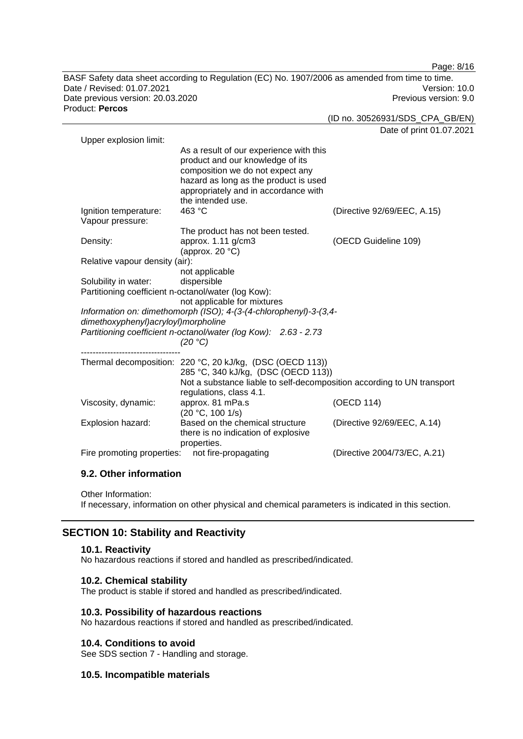BASF Safety data sheet according to Regulation (EC) No. 1907/2006 as amended from time to time. Date / Revised: 01.07.2021 Version: 10.0 Date previous version: 20.03.2020 **Previous version: 9.0** Previous version: 9.0 Product: **Percos** 

(ID no. 30526931/SDS\_CPA\_GB/EN)

Date of print 01.07.2021

Page: 8/16

| Upper explosion limit:                              |                                                                                                                                                                                                                       | <b>Date of print of the L</b> |
|-----------------------------------------------------|-----------------------------------------------------------------------------------------------------------------------------------------------------------------------------------------------------------------------|-------------------------------|
|                                                     | As a result of our experience with this<br>product and our knowledge of its<br>composition we do not expect any<br>hazard as long as the product is used<br>appropriately and in accordance with<br>the intended use. |                               |
| Ignition temperature:                               | 463 °C                                                                                                                                                                                                                | (Directive 92/69/EEC, A.15)   |
| Vapour pressure:                                    |                                                                                                                                                                                                                       |                               |
|                                                     | The product has not been tested.                                                                                                                                                                                      |                               |
| Density:                                            | approx. 1.11 g/cm3                                                                                                                                                                                                    | (OECD Guideline 109)          |
|                                                     | (approx. 20 $°C$ )                                                                                                                                                                                                    |                               |
| Relative vapour density (air):                      |                                                                                                                                                                                                                       |                               |
|                                                     | not applicable                                                                                                                                                                                                        |                               |
| Solubility in water:                                | dispersible                                                                                                                                                                                                           |                               |
| Partitioning coefficient n-octanol/water (log Kow): |                                                                                                                                                                                                                       |                               |
|                                                     | not applicable for mixtures                                                                                                                                                                                           |                               |
|                                                     | Information on: dimethomorph (ISO); 4-(3-(4-chlorophenyl)-3-(3,4-                                                                                                                                                     |                               |
| dimethoxyphenyl)acryloyl)morpholine                 |                                                                                                                                                                                                                       |                               |
|                                                     | Partitioning coefficient n-octanol/water (log Kow): 2.63 - 2.73                                                                                                                                                       |                               |
|                                                     | (20 °C)                                                                                                                                                                                                               |                               |
|                                                     | Thermal decomposition: 220 °C, 20 kJ/kg, (DSC (OECD 113))                                                                                                                                                             |                               |
|                                                     | 285 °C, 340 kJ/kg, (DSC (OECD 113))                                                                                                                                                                                   |                               |
|                                                     | Not a substance liable to self-decomposition according to UN transport                                                                                                                                                |                               |
|                                                     | regulations, class 4.1.                                                                                                                                                                                               |                               |
| Viscosity, dynamic:                                 | approx. 81 mPa.s                                                                                                                                                                                                      | (OECD 114)                    |
|                                                     | (20 °C, 100 1/s)                                                                                                                                                                                                      |                               |
| Explosion hazard:                                   | Based on the chemical structure                                                                                                                                                                                       | (Directive 92/69/EEC, A.14)   |
|                                                     | there is no indication of explosive                                                                                                                                                                                   |                               |
|                                                     | properties.                                                                                                                                                                                                           |                               |
| Fire promoting properties:                          | not fire-propagating                                                                                                                                                                                                  | (Directive 2004/73/EC, A.21)  |
|                                                     |                                                                                                                                                                                                                       |                               |

### **9.2. Other information**

Other Information:

If necessary, information on other physical and chemical parameters is indicated in this section.

# **SECTION 10: Stability and Reactivity**

#### **10.1. Reactivity**

No hazardous reactions if stored and handled as prescribed/indicated.

### **10.2. Chemical stability**

The product is stable if stored and handled as prescribed/indicated.

### **10.3. Possibility of hazardous reactions**

No hazardous reactions if stored and handled as prescribed/indicated.

### **10.4. Conditions to avoid**

See SDS section 7 - Handling and storage.

### **10.5. Incompatible materials**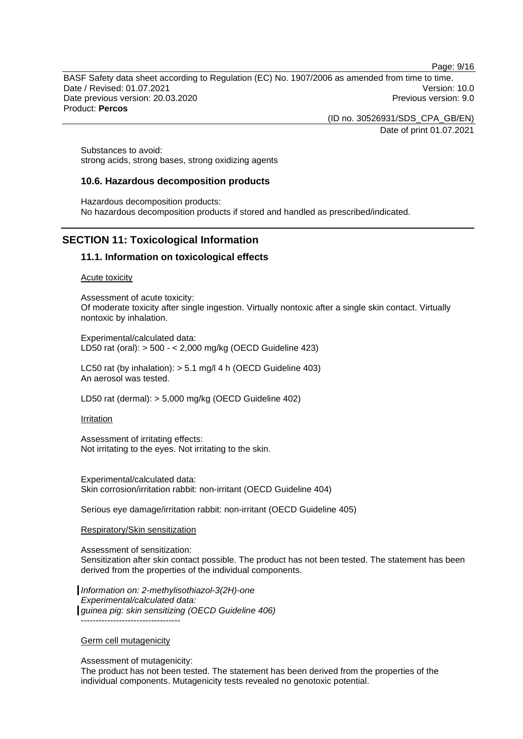BASF Safety data sheet according to Regulation (EC) No. 1907/2006 as amended from time to time. Date / Revised: 01.07.2021 Version: 10.0 Date previous version: 20.03.2020 **Previous version: 9.0** Previous version: 9.0 Product: **Percos** 

> (ID no. 30526931/SDS\_CPA\_GB/EN) Date of print 01.07.2021

Page: 9/16

Substances to avoid: strong acids, strong bases, strong oxidizing agents

### **10.6. Hazardous decomposition products**

Hazardous decomposition products: No hazardous decomposition products if stored and handled as prescribed/indicated.

# **SECTION 11: Toxicological Information**

### **11.1. Information on toxicological effects**

Acute toxicity

Assessment of acute toxicity: Of moderate toxicity after single ingestion. Virtually nontoxic after a single skin contact. Virtually nontoxic by inhalation.

Experimental/calculated data: LD50 rat (oral): > 500 - < 2,000 mg/kg (OECD Guideline 423)

LC50 rat (by inhalation): > 5.1 mg/l 4 h (OECD Guideline 403) An aerosol was tested.

LD50 rat (dermal): > 5,000 mg/kg (OECD Guideline 402)

Irritation

Assessment of irritating effects: Not irritating to the eyes. Not irritating to the skin.

Experimental/calculated data: Skin corrosion/irritation rabbit: non-irritant (OECD Guideline 404)

Serious eye damage/irritation rabbit: non-irritant (OECD Guideline 405)

#### Respiratory/Skin sensitization

Assessment of sensitization: Sensitization after skin contact possible. The product has not been tested. The statement has been derived from the properties of the individual components.

*Information on: 2-methylisothiazol-3(2H)-one Experimental/calculated data: guinea pig: skin sensitizing (OECD Guideline 406)* ----------------------------------

### Germ cell mutagenicity

Assessment of mutagenicity:

The product has not been tested. The statement has been derived from the properties of the individual components. Mutagenicity tests revealed no genotoxic potential.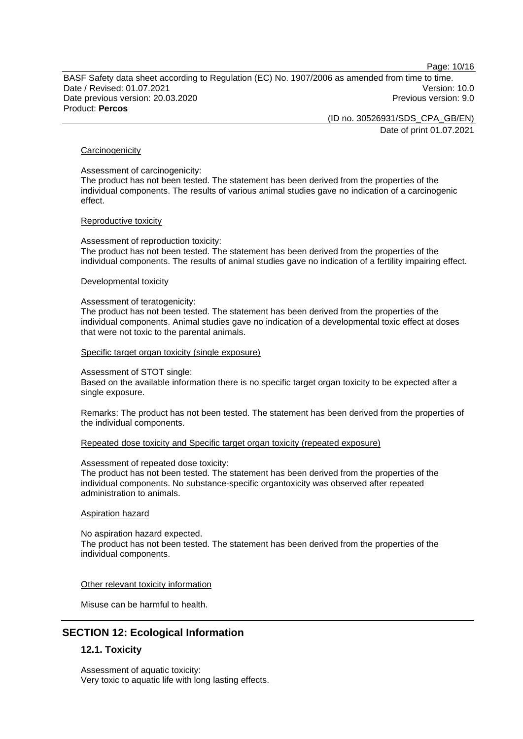Page: 10/16

BASF Safety data sheet according to Regulation (EC) No. 1907/2006 as amended from time to time. Date / Revised: 01.07.2021 Version: 10.0 Date previous version: 20.03.2020 **Previous version: 9.0** Previous version: 9.0 Product: **Percos** 

> (ID no. 30526931/SDS\_CPA\_GB/EN) Date of print 01.07.2021

**Carcinogenicity** 

Assessment of carcinogenicity:

The product has not been tested. The statement has been derived from the properties of the individual components. The results of various animal studies gave no indication of a carcinogenic effect.

#### Reproductive toxicity

Assessment of reproduction toxicity: The product has not been tested. The statement has been derived from the properties of the individual components. The results of animal studies gave no indication of a fertility impairing effect.

#### Developmental toxicity

#### Assessment of teratogenicity:

The product has not been tested. The statement has been derived from the properties of the individual components. Animal studies gave no indication of a developmental toxic effect at doses that were not toxic to the parental animals.

#### Specific target organ toxicity (single exposure)

#### Assessment of STOT single:

Based on the available information there is no specific target organ toxicity to be expected after a single exposure.

Remarks: The product has not been tested. The statement has been derived from the properties of the individual components.

#### Repeated dose toxicity and Specific target organ toxicity (repeated exposure)

#### Assessment of repeated dose toxicity:

The product has not been tested. The statement has been derived from the properties of the individual components. No substance-specific organtoxicity was observed after repeated administration to animals.

#### Aspiration hazard

No aspiration hazard expected.

The product has not been tested. The statement has been derived from the properties of the individual components.

#### Other relevant toxicity information

Misuse can be harmful to health.

# **SECTION 12: Ecological Information**

### **12.1. Toxicity**

Assessment of aquatic toxicity: Very toxic to aquatic life with long lasting effects.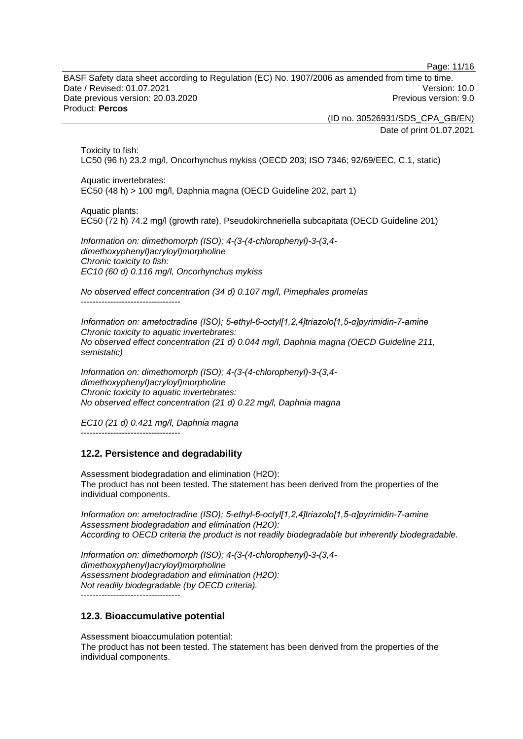Page: 11/16

BASF Safety data sheet according to Regulation (EC) No. 1907/2006 as amended from time to time. Date / Revised: 01.07.2021 Version: 10.0 Date previous version: 20.03.2020 **Previous version: 9.0** Previous version: 9.0 Product: **Percos** 

> (ID no. 30526931/SDS\_CPA\_GB/EN) Date of print 01.07.2021

Toxicity to fish: LC50 (96 h) 23.2 mg/l, Oncorhynchus mykiss (OECD 203; ISO 7346; 92/69/EEC, C.1, static)

Aquatic invertebrates: EC50 (48 h) > 100 mg/l, Daphnia magna (OECD Guideline 202, part 1)

Aquatic plants: EC50 (72 h) 74.2 mg/l (growth rate), Pseudokirchneriella subcapitata (OECD Guideline 201)

*Information on: dimethomorph (ISO); 4-(3-(4-chlorophenyl)-3-(3,4 dimethoxyphenyl)acryloyl)morpholine Chronic toxicity to fish: EC10 (60 d) 0.116 mg/l, Oncorhynchus mykiss* 

*No observed effect concentration (34 d) 0.107 mg/l, Pimephales promelas*  ----------------------------------

*Information on: ametoctradine (ISO); 5-ethyl-6-octyl[1,2,4]triazolo[1,5-α]pyrimidin-7-amine Chronic toxicity to aquatic invertebrates: No observed effect concentration (21 d) 0.044 mg/l, Daphnia magna (OECD Guideline 211, semistatic)* 

*Information on: dimethomorph (ISO); 4-(3-(4-chlorophenyl)-3-(3,4 dimethoxyphenyl)acryloyl)morpholine Chronic toxicity to aquatic invertebrates: No observed effect concentration (21 d) 0.22 mg/l, Daphnia magna* 

*EC10 (21 d) 0.421 mg/l, Daphnia magna* 

----------------------------------

### **12.2. Persistence and degradability**

Assessment biodegradation and elimination (H2O): The product has not been tested. The statement has been derived from the properties of the individual components.

*Information on: ametoctradine (ISO); 5-ethyl-6-octyl[1,2,4]triazolo[1,5-α]pyrimidin-7-amine Assessment biodegradation and elimination (H2O): According to OECD criteria the product is not readily biodegradable but inherently biodegradable.* 

*Information on: dimethomorph (ISO); 4-(3-(4-chlorophenyl)-3-(3,4 dimethoxyphenyl)acryloyl)morpholine Assessment biodegradation and elimination (H2O): Not readily biodegradable (by OECD criteria).* 

----------------------------------

### **12.3. Bioaccumulative potential**

Assessment bioaccumulation potential: The product has not been tested. The statement has been derived from the properties of the individual components.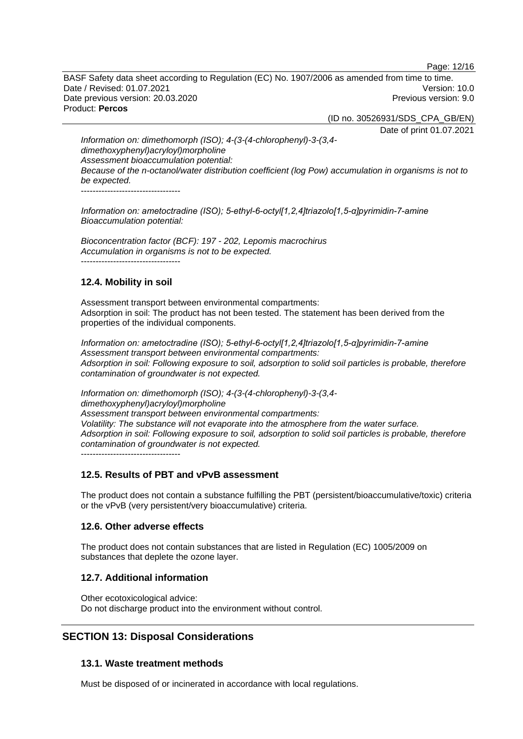Page: 12/16

BASF Safety data sheet according to Regulation (EC) No. 1907/2006 as amended from time to time. Date / Revised: 01.07.2021 Version: 10.0 Date previous version: 20.03.2020 **Previous version: 9.0** Previous version: 9.0 Product: **Percos** 

(ID no. 30526931/SDS\_CPA\_GB/EN)

Date of print 01.07.2021

*Information on: dimethomorph (ISO); 4-(3-(4-chlorophenyl)-3-(3,4 dimethoxyphenyl)acryloyl)morpholine Assessment bioaccumulation potential: Because of the n-octanol/water distribution coefficient (log Pow) accumulation in organisms is not to be expected.*  -----------------------------------

*Information on: ametoctradine (ISO); 5-ethyl-6-octyl[1,2,4]triazolo[1,5-α]pyrimidin-7-amine Bioaccumulation potential:* 

*Bioconcentration factor (BCF): 197 - 202, Lepomis macrochirus Accumulation in organisms is not to be expected.*  ----------------------------------

# **12.4. Mobility in soil**

Assessment transport between environmental compartments: Adsorption in soil: The product has not been tested. The statement has been derived from the properties of the individual components.

*Information on: ametoctradine (ISO); 5-ethyl-6-octyl[1,2,4]triazolo[1,5-α]pyrimidin-7-amine Assessment transport between environmental compartments: Adsorption in soil: Following exposure to soil, adsorption to solid soil particles is probable, therefore contamination of groundwater is not expected.*

*Information on: dimethomorph (ISO); 4-(3-(4-chlorophenyl)-3-(3,4 dimethoxyphenyl)acryloyl)morpholine Assessment transport between environmental compartments: Volatility: The substance will not evaporate into the atmosphere from the water surface. Adsorption in soil: Following exposure to soil, adsorption to solid soil particles is probable, therefore contamination of groundwater is not expected.* ----------------------------------

# **12.5. Results of PBT and vPvB assessment**

The product does not contain a substance fulfilling the PBT (persistent/bioaccumulative/toxic) criteria or the vPvB (very persistent/very bioaccumulative) criteria.

### **12.6. Other adverse effects**

The product does not contain substances that are listed in Regulation (EC) 1005/2009 on substances that deplete the ozone layer.

# **12.7. Additional information**

Other ecotoxicological advice: Do not discharge product into the environment without control.

# **SECTION 13: Disposal Considerations**

### **13.1. Waste treatment methods**

Must be disposed of or incinerated in accordance with local regulations.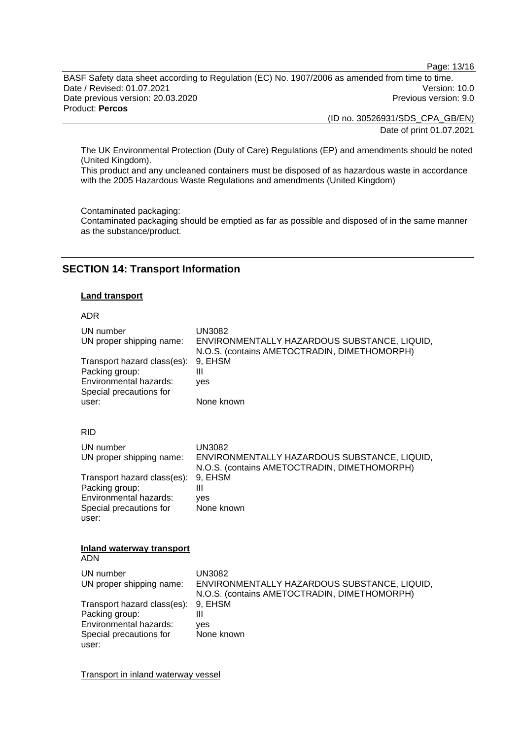Page: 13/16

BASF Safety data sheet according to Regulation (EC) No. 1907/2006 as amended from time to time. Date / Revised: 01.07.2021 Version: 10.0 Date previous version: 20.03.2020 **Previous version: 9.0** Previous version: 9.0 Product: **Percos** 

> (ID no. 30526931/SDS\_CPA\_GB/EN) Date of print 01.07.2021

The UK Environmental Protection (Duty of Care) Regulations (EP) and amendments should be noted (United Kingdom).

This product and any uncleaned containers must be disposed of as hazardous waste in accordance with the 2005 Hazardous Waste Regulations and amendments (United Kingdom)

Contaminated packaging:

Contaminated packaging should be emptied as far as possible and disposed of in the same manner as the substance/product.

# **SECTION 14: Transport Information**

### **Land transport**

#### ADR

| UN number<br>UN proper shipping name:<br>Transport hazard class(es):<br>Packing group:<br>Environmental hazards:<br>Special precautions for<br>user: | <b>UN3082</b><br>ENVIRONMENTALLY HAZARDOUS SUBSTANCE, LIQUID,<br>N.O.S. (contains AMETOCTRADIN, DIMETHOMORPH)<br>9, EHSM<br>Ш<br>yes<br>None known |  |
|------------------------------------------------------------------------------------------------------------------------------------------------------|----------------------------------------------------------------------------------------------------------------------------------------------------|--|
| <b>RID</b>                                                                                                                                           |                                                                                                                                                    |  |
| UN number<br>UN proper shipping name:                                                                                                                | <b>UN3082</b><br>ENVIRONMENTALLY HAZARDOUS SUBSTANCE, LIQUID,<br>N.O.S. (contains AMETOCTRADIN, DIMETHOMORPH)                                      |  |
| Transport hazard class(es):<br>Packing group:<br>Environmental hazards:<br>Special precautions for<br>user:                                          | 9, EHSM<br>Ш<br>ves<br>None known                                                                                                                  |  |
| <b>Inland waterway transport</b><br><b>ADN</b>                                                                                                       |                                                                                                                                                    |  |
| UN number<br>UN proper shipping name:                                                                                                                | <b>UN3082</b><br>ENVIRONMENTALLY HAZARDOUS SUBSTANCE, LIQUID,                                                                                      |  |
| Transport hazard class(es):<br>Packing group:<br>Environmental hazards:<br>Special precautions for<br>user:                                          | N.O.S. (contains AMETOCTRADIN, DIMETHOMORPH)<br>9, EHSM<br>Ш<br>ves<br>None known                                                                  |  |

Transport in inland waterway vessel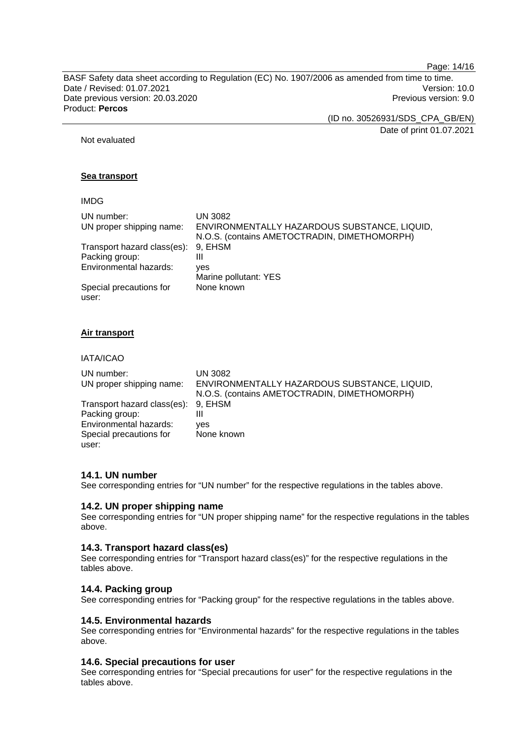Page: 14/16

BASF Safety data sheet according to Regulation (EC) No. 1907/2006 as amended from time to time. Date / Revised: 01.07.2021 Version: 10.0 Date previous version: 20.03.2020 **Previous version: 9.0** Previous version: 9.0 Product: **Percos** 

> (ID no. 30526931/SDS\_CPA\_GB/EN) Date of print 01.07.2021

Not evaluated

### **Sea transport**

### IMDG

| UN number:                  | UN 3082                                      |
|-----------------------------|----------------------------------------------|
| UN proper shipping name:    | ENVIRONMENTALLY HAZARDOUS SUBSTANCE, LIQUID, |
|                             | N.O.S. (contains AMETOCTRADIN, DIMETHOMORPH) |
| Transport hazard class(es): | 9. EHSM                                      |
| Packing group:              | Ш                                            |
| Environmental hazards:      | ves                                          |
|                             | Marine pollutant: YES                        |
| Special precautions for     | None known                                   |
| user:                       |                                              |

### **Air transport**

IATA/ICAO

| UN number:                          | UN 3082                                      |
|-------------------------------------|----------------------------------------------|
| UN proper shipping name:            | ENVIRONMENTALLY HAZARDOUS SUBSTANCE, LIQUID, |
|                                     | N.O.S. (contains AMETOCTRADIN, DIMETHOMORPH) |
| Transport hazard class(es): 9, EHSM |                                              |
| Packing group:                      | Ш                                            |
| Environmental hazards:              | ves                                          |
| Special precautions for             | None known                                   |
| user:                               |                                              |

### **14.1. UN number**

See corresponding entries for "UN number" for the respective regulations in the tables above.

#### **14.2. UN proper shipping name**

See corresponding entries for "UN proper shipping name" for the respective regulations in the tables above.

#### **14.3. Transport hazard class(es)**

See corresponding entries for "Transport hazard class(es)" for the respective regulations in the tables above.

### **14.4. Packing group**

See corresponding entries for "Packing group" for the respective regulations in the tables above.

### **14.5. Environmental hazards**

See corresponding entries for "Environmental hazards" for the respective regulations in the tables above.

### **14.6. Special precautions for user**

See corresponding entries for "Special precautions for user" for the respective regulations in the tables above.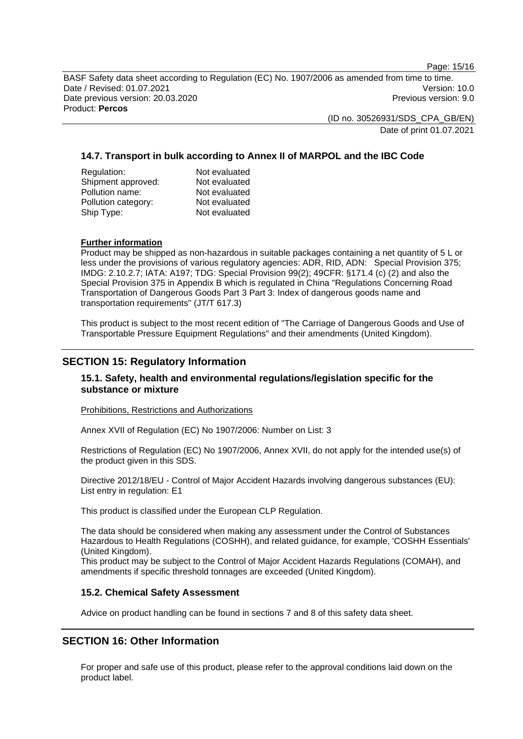Page: 15/16

BASF Safety data sheet according to Regulation (EC) No. 1907/2006 as amended from time to time. Date / Revised: 01.07.2021 Version: 10.0 Date previous version: 20.03.2020 **Previous version: 9.0** Previous version: 9.0 Product: **Percos** 

> (ID no. 30526931/SDS\_CPA\_GB/EN) Date of print 01.07.2021

### **14.7. Transport in bulk according to Annex II of MARPOL and the IBC Code**

| Regulation:         | Not evaluated |
|---------------------|---------------|
|                     |               |
| Shipment approved:  | Not evaluated |
| Pollution name:     | Not evaluated |
| Pollution category: | Not evaluated |
| Ship Type:          | Not evaluated |

### **Further information**

Product may be shipped as non-hazardous in suitable packages containing a net quantity of 5 L or less under the provisions of various regulatory agencies: ADR, RID, ADN: Special Provision 375; IMDG: 2.10.2.7; IATA: A197; TDG: Special Provision 99(2); 49CFR: §171.4 (c) (2) and also the Special Provision 375 in Appendix B which is regulated in China "Regulations Concerning Road Transportation of Dangerous Goods Part 3 Part 3: Index of dangerous goods name and transportation requirements" (JT/T 617.3)

This product is subject to the most recent edition of "The Carriage of Dangerous Goods and Use of Transportable Pressure Equipment Regulations" and their amendments (United Kingdom).

# **SECTION 15: Regulatory Information**

### **15.1. Safety, health and environmental regulations/legislation specific for the substance or mixture**

Prohibitions, Restrictions and Authorizations

Annex XVII of Regulation (EC) No 1907/2006: Number on List: 3

Restrictions of Regulation (EC) No 1907/2006, Annex XVII, do not apply for the intended use(s) of the product given in this SDS.

Directive 2012/18/EU - Control of Major Accident Hazards involving dangerous substances (EU): List entry in regulation: E1

This product is classified under the European CLP Regulation.

The data should be considered when making any assessment under the Control of Substances Hazardous to Health Regulations (COSHH), and related guidance, for example, 'COSHH Essentials' (United Kingdom).

This product may be subject to the Control of Major Accident Hazards Regulations (COMAH), and amendments if specific threshold tonnages are exceeded (United Kingdom).

### **15.2. Chemical Safety Assessment**

Advice on product handling can be found in sections 7 and 8 of this safety data sheet.

# **SECTION 16: Other Information**

For proper and safe use of this product, please refer to the approval conditions laid down on the product label.